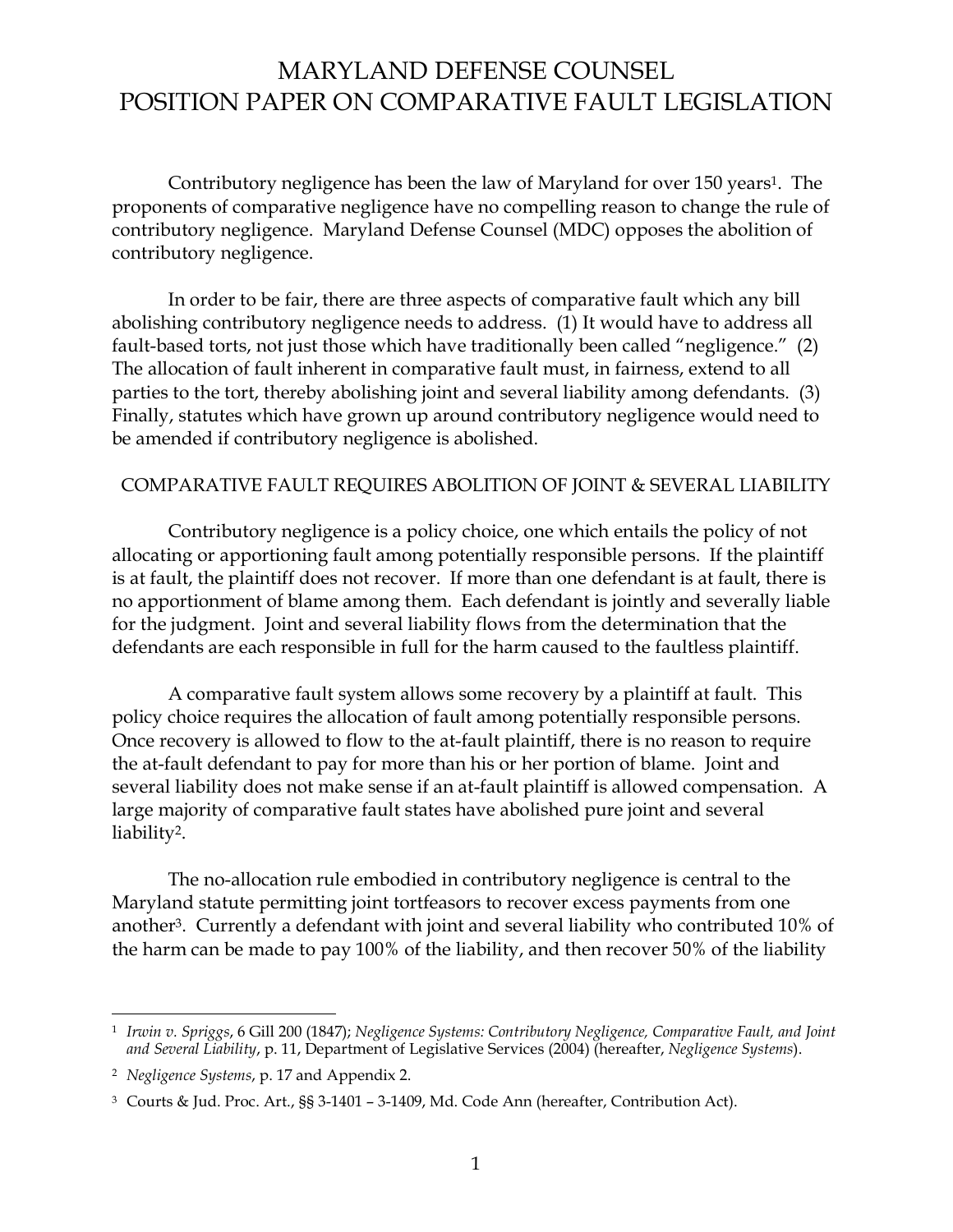Contributory negligence has been the law of Maryland for over 150 years<sup>1</sup>. The proponents of comparative negligence have no compelling reason to change the rule of contributory negligence. Maryland Defense Counsel (MDC) opposes the abolition of contributory negligence.

In order to be fair, there are three aspects of comparative fault which any bill abolishing contributory negligence needs to address. (1) It would have to address all fault-based torts, not just those which have traditionally been called "negligence." (2) The allocation of fault inherent in comparative fault must, in fairness, extend to all parties to the tort, thereby abolishing joint and several liability among defendants. (3) Finally, statutes which have grown up around contributory negligence would need to be amended if contributory negligence is abolished.

### COMPARATIVE FAULT REQUIRES ABOLITION OF JOINT & SEVERAL LIABILITY

 Contributory negligence is a policy choice, one which entails the policy of not allocating or apportioning fault among potentially responsible persons. If the plaintiff is at fault, the plaintiff does not recover. If more than one defendant is at fault, there is no apportionment of blame among them. Each defendant is jointly and severally liable for the judgment. Joint and several liability flows from the determination that the defendants are each responsible in full for the harm caused to the faultless plaintiff.

 A comparative fault system allows some recovery by a plaintiff at fault. This policy choice requires the allocation of fault among potentially responsible persons. Once recovery is allowed to flow to the at-fault plaintiff, there is no reason to require the at-fault defendant to pay for more than his or her portion of blame. Joint and several liability does not make sense if an at-fault plaintiff is allowed compensation. A large majority of comparative fault states have abolished pure joint and several liability<sup>2</sup>.

 The no-allocation rule embodied in contributory negligence is central to the Maryland statute permitting joint tortfeasors to recover excess payments from one another<sup>3</sup> . Currently a defendant with joint and several liability who contributed 10% of the harm can be made to pay 100% of the liability, and then recover 50% of the liability

-

<sup>1</sup> *Irwin v. Spriggs*, 6 Gill 200 (1847); *Negligence Systems: Contributory Negligence, Comparative Fault, and Joint and Several Liability*, p. 11, Department of Legislative Services (2004) (hereafter, *Negligence Systems*).

<sup>2</sup> *Negligence Systems*, p. 17 and Appendix 2.

 $3$  Courts & Jud. Proc. Art.,  $\S$ § 3-1401 - 3-1409, Md. Code Ann (hereafter, Contribution Act).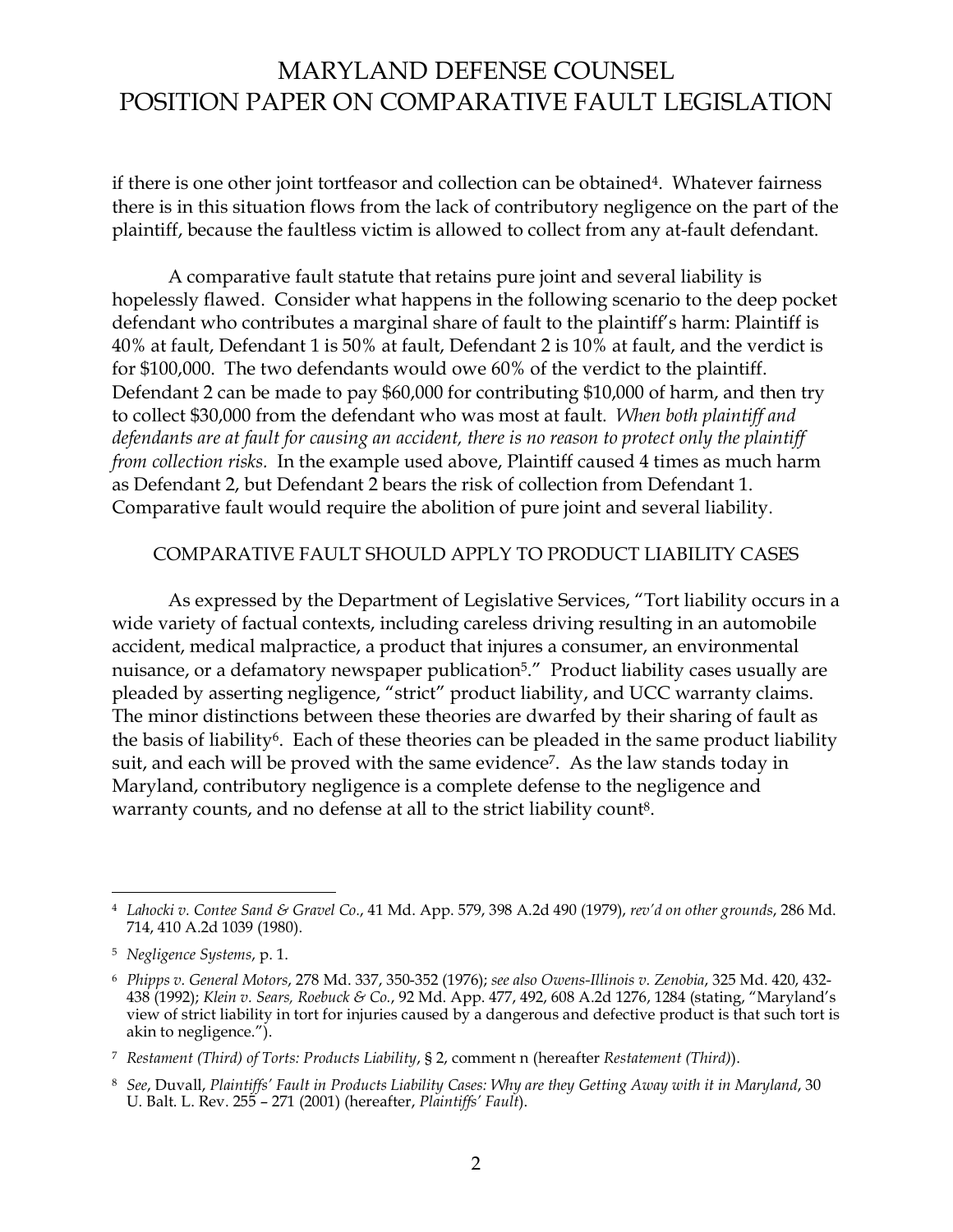if there is one other joint tortfeasor and collection can be obtained<sup>4</sup>. Whatever fairness there is in this situation flows from the lack of contributory negligence on the part of the plaintiff, because the faultless victim is allowed to collect from any at-fault defendant.

 A comparative fault statute that retains pure joint and several liability is hopelessly flawed. Consider what happens in the following scenario to the deep pocket defendant who contributes a marginal share of fault to the plaintiff's harm: Plaintiff is 40% at fault, Defendant 1 is 50% at fault, Defendant 2 is 10% at fault, and the verdict is for \$100,000. The two defendants would owe 60% of the verdict to the plaintiff. Defendant 2 can be made to pay \$60,000 for contributing \$10,000 of harm, and then try to collect \$30,000 from the defendant who was most at fault. *When both plaintiff and defendants are at fault for causing an accident, there is no reason to protect only the plaintiff from collection risks.* In the example used above, Plaintiff caused 4 times as much harm as Defendant 2, but Defendant 2 bears the risk of collection from Defendant 1. Comparative fault would require the abolition of pure joint and several liability.

#### COMPARATIVE FAULT SHOULD APPLY TO PRODUCT LIABILITY CASES

As expressed by the Department of Legislative Services, "Tort liability occurs in a wide variety of factual contexts, including careless driving resulting in an automobile accident, medical malpractice, a product that injures a consumer, an environmental nuisance, or a defamatory newspaper publication<sup>5</sup>.<sup>"</sup> Product liability cases usually are pleaded by asserting negligence, "strict" product liability, and UCC warranty claims. The minor distinctions between these theories are dwarfed by their sharing of fault as the basis of liability<sup>6</sup>. Each of these theories can be pleaded in the same product liability suit, and each will be proved with the same evidence 7 . As the law stands today in Maryland, contributory negligence is a complete defense to the negligence and warranty counts, and no defense at all to the strict liability count<sup>8</sup>.

<sup>-</sup>4 *Lahocki v. Contee Sand & Gravel Co.*, 41 Md. App. 579, 398 A.2d 490 (1979), *revíd on other grounds*, 286 Md. 714, 410 A.2d 1039 (1980).

<sup>5</sup> *Negligence Systems*, p. 1.

<sup>6</sup> *Phipps v. General Motors*, 278 Md. 337, 350-352 (1976); *see also Owens-Illinois v. Zenobia*, 325 Md. 420, 432- 438 (1992); *Klein v. Sears, Roebuck & Co., 92 Md. App. 477, 492, 608 A.2d 1276, 1284* (stating, "Maryland's view of strict liability in tort for injuries caused by a dangerous and defective product is that such tort is akin to negligence.").

<sup>7</sup> *Restament (Third) of Torts: Products Liability*, ß 2, comment n (hereafter *Restatement (Third)*).

<sup>8</sup> *See*, Duvall, *Plaintiffsí Fault in Products Liability Cases: Why are they Getting Away with it in Maryland*, 30 U. Balt. L. Rev. 255 - 271 (2001) (hereafter, *Plaintiffs' Fault*).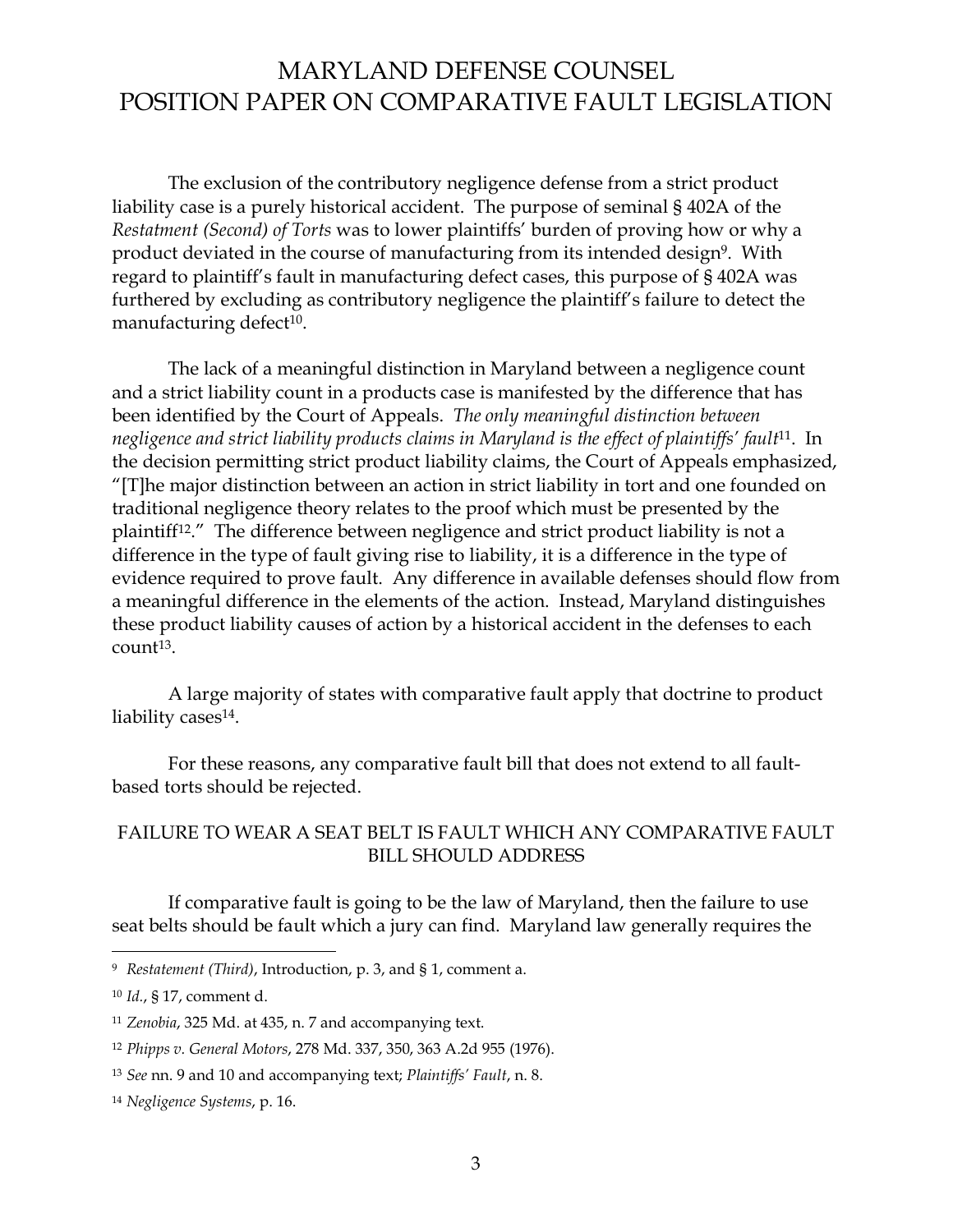The exclusion of the contributory negligence defense from a strict product liability case is a purely historical accident. The purpose of seminal ß 402A of the *Restatment (Second) of Torts* was to lower plaintiffsí burden of proving how or why a product deviated in the course of manufacturing from its intended design<sup>9</sup>. With regard to plaintiff's fault in manufacturing defect cases, this purpose of §402A was furthered by excluding as contributory negligence the plaintiff's failure to detect the manufacturing defect<sup>10</sup>.

 The lack of a meaningful distinction in Maryland between a negligence count and a strict liability count in a products case is manifested by the difference that has been identified by the Court of Appeals. *The only meaningful distinction between negligence and strict liability products claims in Maryland is the effect of plaintiffsí fault*<sup>11</sup>. In the decision permitting strict product liability claims, the Court of Appeals emphasized,  $T$ [T]he major distinction between an action in strict liability in tort and one founded on traditional negligence theory relates to the proof which must be presented by the plaintiff<sup>12</sup>.<sup>"</sup> The difference between negligence and strict product liability is not a difference in the type of fault giving rise to liability, it is a difference in the type of evidence required to prove fault. Any difference in available defenses should flow from a meaningful difference in the elements of the action. Instead, Maryland distinguishes these product liability causes of action by a historical accident in the defenses to each count<sup>13</sup>.

 A large majority of states with comparative fault apply that doctrine to product liability cases<sup>14</sup>.

 For these reasons, any comparative fault bill that does not extend to all faultbased torts should be rejected.

## FAILURE TO WEAR A SEAT BELT IS FAULT WHICH ANY COMPARATIVE FAULT BILL SHOULD ADDRESS

 If comparative fault is going to be the law of Maryland, then the failure to use seat belts should be fault which a jury can find. Maryland law generally requires the

-

<sup>9</sup> *Restatement (Third)*, Introduction, p. 3, and ß 1, comment a.

<sup>10</sup> *Id.*, ß 17, comment d.

<sup>11</sup> *Zenobia*, 325 Md. at 435, n. 7 and accompanying text.

<sup>12</sup> *Phipps v. General Motors*, 278 Md. 337, 350, 363 A.2d 955 (1976).

<sup>13</sup> *See* nn. 9 and 10 and accompanying text; *Plaintiffsí Fault*, n. 8.

<sup>14</sup> *Negligence Systems*, p. 16.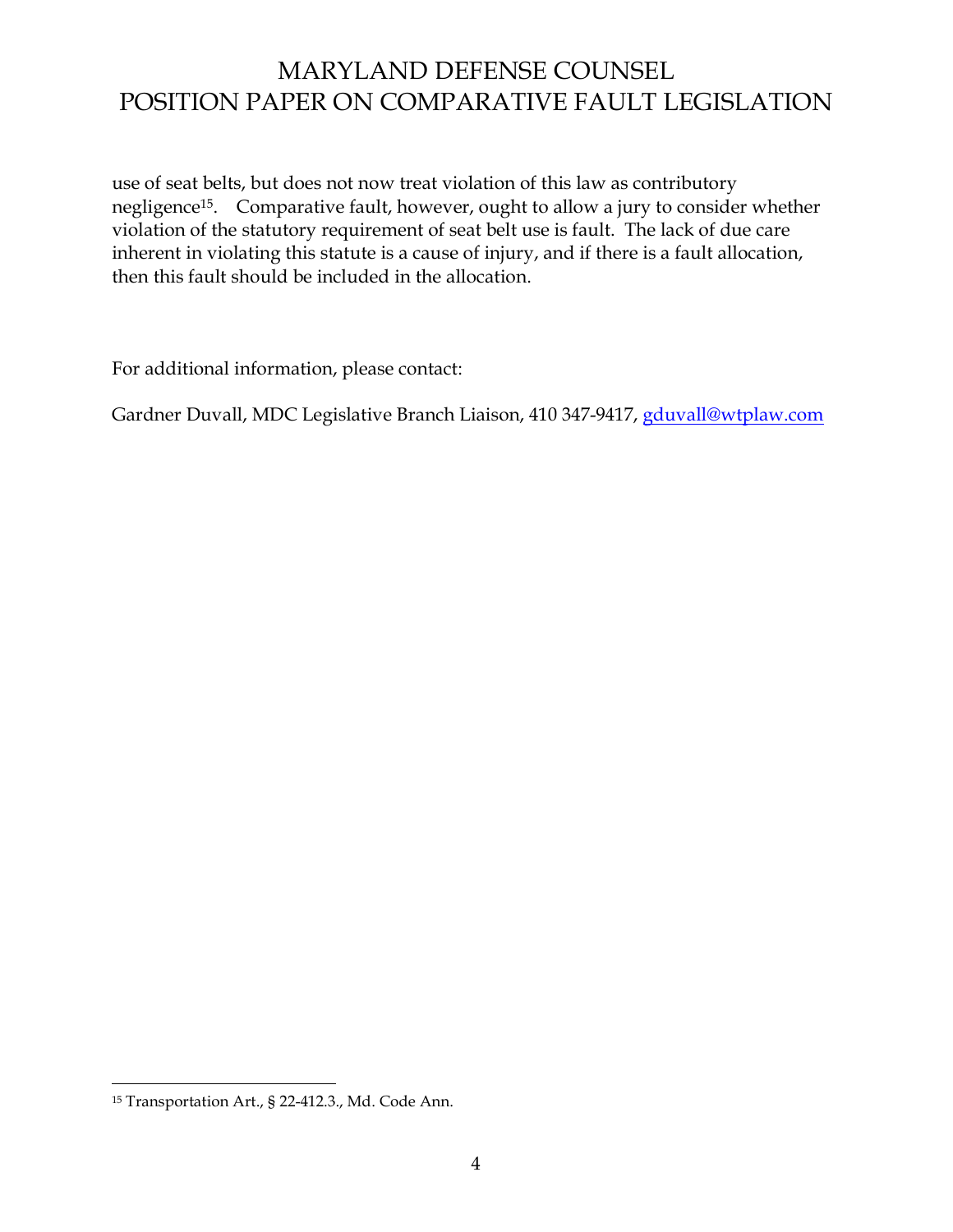use of seat belts, but does not now treat violation of this law as contributory negligence<sup>15</sup>. Comparative fault, however, ought to allow a jury to consider whether violation of the statutory requirement of seat belt use is fault. The lack of due care inherent in violating this statute is a cause of injury, and if there is a fault allocation, then this fault should be included in the allocation.

For additional information, please contact:

Gardner Duvall, MDC Legislative Branch Liaison, 410 347-9417, gduvall@wtplaw.com

-

<sup>15</sup> Transportation Art., ß 22-412.3., Md. Code Ann.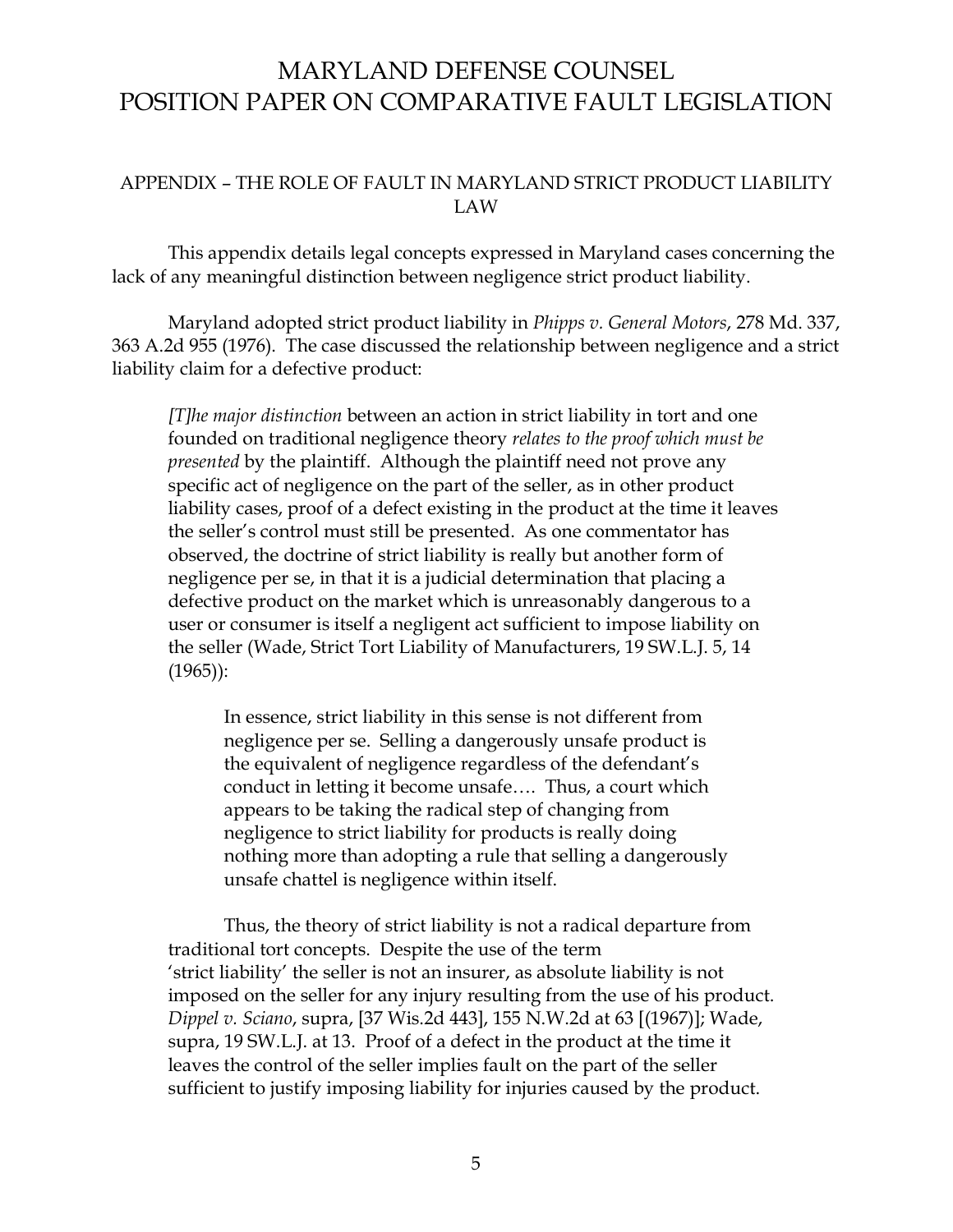### APPENDIX - THE ROLE OF FAULT IN MARYLAND STRICT PRODUCT LIABILITY LAW

 This appendix details legal concepts expressed in Maryland cases concerning the lack of any meaningful distinction between negligence strict product liability.

 Maryland adopted strict product liability in *Phipps v. General Motors*, 278 Md. 337, 363 A.2d 955 (1976). The case discussed the relationship between negligence and a strict liability claim for a defective product:

*[T]he major distinction* between an action in strict liability in tort and one founded on traditional negligence theory *relates to the proof which must be presented* by the plaintiff. Although the plaintiff need not prove any specific act of negligence on the part of the seller, as in other product liability cases, proof of a defect existing in the product at the time it leaves the seller's control must still be presented. As one commentator has observed, the doctrine of strict liability is really but another form of negligence per se, in that it is a judicial determination that placing a defective product on the market which is unreasonably dangerous to a user or consumer is itself a negligent act sufficient to impose liability on the seller (Wade, Strict Tort Liability of Manufacturers, 19 SW.L.J. 5, 14 (1965)):

In essence, strict liability in this sense is not different from negligence per se. Selling a dangerously unsafe product is the equivalent of negligence regardless of the defendant's conduct in letting it become unsafe.... Thus, a court which appears to be taking the radical step of changing from negligence to strict liability for products is really doing nothing more than adopting a rule that selling a dangerously unsafe chattel is negligence within itself.

 Thus, the theory of strict liability is not a radical departure from traditional tort concepts. Despite the use of the term 'strict liability' the seller is not an insurer, as absolute liability is not imposed on the seller for any injury resulting from the use of his product. *Dippel v. Sciano*, supra, [37 Wis.2d 443], 155 N.W.2d at 63 [(1967)]; Wade, supra, 19 SW.L.J. at 13. Proof of a defect in the product at the time it leaves the control of the seller implies fault on the part of the seller sufficient to justify imposing liability for injuries caused by the product.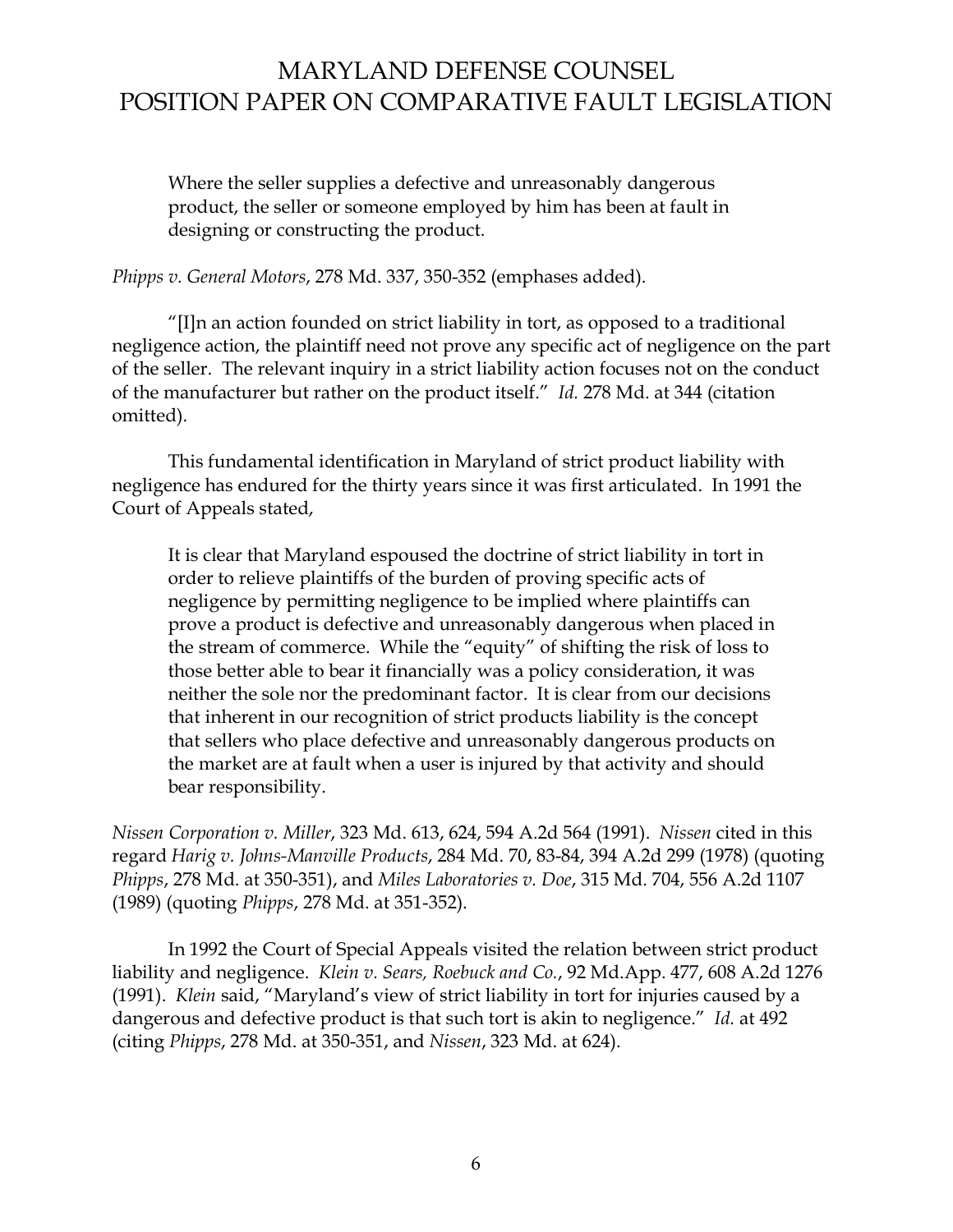Where the seller supplies a defective and unreasonably dangerous product, the seller or someone employed by him has been at fault in designing or constructing the product.

*Phipps v. General Motors*, 278 Md. 337, 350-352 (emphases added).

 $\eta$ [I]n an action founded on strict liability in tort, as opposed to a traditional negligence action, the plaintiff need not prove any specific act of negligence on the part of the seller. The relevant inquiry in a strict liability action focuses not on the conduct of the manufacturer but rather on the product itself.<sup>"</sup> Id. 278 Md. at 344 (citation omitted).

 This fundamental identification in Maryland of strict product liability with negligence has endured for the thirty years since it was first articulated. In 1991 the Court of Appeals stated,

It is clear that Maryland espoused the doctrine of strict liability in tort in order to relieve plaintiffs of the burden of proving specific acts of negligence by permitting negligence to be implied where plaintiffs can prove a product is defective and unreasonably dangerous when placed in the stream of commerce. While the "equity" of shifting the risk of loss to those better able to bear it financially was a policy consideration, it was neither the sole nor the predominant factor. It is clear from our decisions that inherent in our recognition of strict products liability is the concept that sellers who place defective and unreasonably dangerous products on the market are at fault when a user is injured by that activity and should bear responsibility.

*Nissen Corporation v. Miller*, 323 Md. 613, 624, 594 A.2d 564 (1991). *Nissen* cited in this regard *Harig v. Johns-Manville Products*, 284 Md. 70, 83-84, 394 A.2d 299 (1978) (quoting *Phipps*, 278 Md. at 350-351), and *Miles Laboratories v. Doe*, 315 Md. 704, 556 A.2d 1107 (1989) (quoting *Phipps*, 278 Md. at 351-352).

 In 1992 the Court of Special Appeals visited the relation between strict product liability and negligence. *Klein v. Sears, Roebuck and Co.*, 92 Md.App. 477, 608 A.2d 1276 (1991). *Klein* said, "Maryland's view of strict liability in tort for injuries caused by a dangerous and defective product is that such tort is akin to negligence.<sup>"</sup> Id. at 492 (citing *Phipps*, 278 Md. at 350-351, and *Nissen*, 323 Md. at 624).